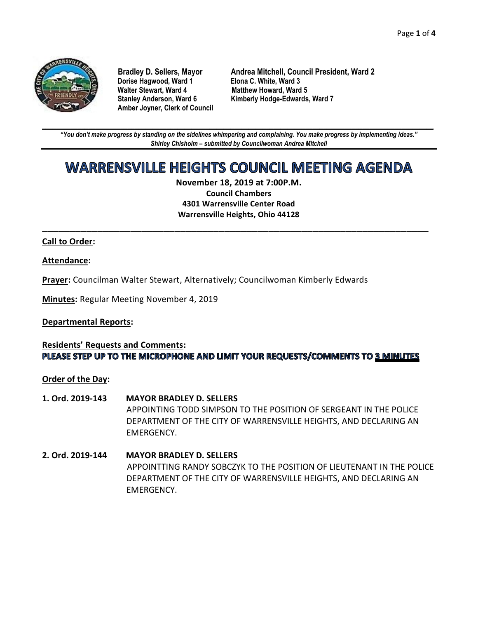

**Dorise Hagwood, Ward 1<br>Walter Stewart, Ward 4 Amber Joyner, Clerk of Council**

**Bradley D. Sellers, Mayor Andrea Mitchell, Council President, Ward 2 Matthew Howard, Ward 5 Stanley Anderson, Ward 6 Kimberly Hodge-Edwards, Ward 7**

**\_\_\_\_\_\_\_\_\_\_\_\_\_\_\_\_\_\_\_\_\_\_\_\_\_\_\_\_\_\_\_\_\_\_\_\_\_\_\_\_\_\_\_\_\_\_\_\_\_\_\_\_\_\_\_\_\_\_\_\_\_\_\_\_\_\_\_\_\_\_\_\_\_\_\_\_\_\_\_\_\_\_\_\_\_\_\_\_\_\_\_\_\_\_\_\_\_\_\_\_\_\_\_\_\_\_\_\_\_\_** *"You don't make progress by standing on the sidelines whimpering and complaining. You make progress by implementing ideas." Shirley Chisholm – submitted by Councilwoman Andrea Mitchell*

# **WARRENSVILLE HEIGHTS COUNCIL MEETING AGENDA**

**November 18, 2019 at 7:00P.M. Council Chambers 4301 Warrensville Center Road Warrensville Heights, Ohio 44128**

**\_\_\_\_\_\_\_\_\_\_\_\_\_\_\_\_\_\_\_\_\_\_\_\_\_\_\_\_\_\_\_\_\_\_\_\_\_\_\_\_\_\_\_\_\_\_\_\_\_\_\_\_\_\_\_\_\_\_\_\_\_\_\_\_\_\_\_\_\_\_**

#### **Call to Order:**

#### **Attendance:**

**Prayer:** Councilman Walter Stewart, Alternatively; Councilwoman Kimberly Edwards

**Minutes:** Regular Meeting November 4, 2019

#### **Departmental Reports:**

# **Residents' Requests and Comments:** PLEASE STEP UP TO THE MICROPHONE AND LIMIT YOUR REQUESTS/COMMENTS TO 3 MINUTES

**Order of the Day:**

- **1. Ord. 2019-143 MAYOR BRADLEY D. SELLERS** APPOINTING TODD SIMPSON TO THE POSITION OF SERGEANT IN THE POLICE DEPARTMENT OF THE CITY OF WARRENSVILLE HEIGHTS, AND DECLARING AN EMERGENCY.
- **2. Ord. 2019-144 MAYOR BRADLEY D. SELLERS** APPOINTTING RANDY SOBCZYK TO THE POSITION OF LIEUTENANT IN THE POLICE DEPARTMENT OF THE CITY OF WARRENSVILLE HEIGHTS, AND DECLARING AN EMERGENCY.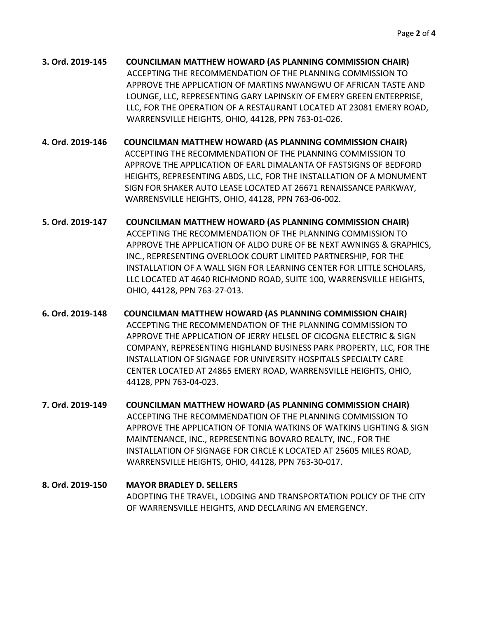**3. Ord. 2019-145 COUNCILMAN MATTHEW HOWARD (AS PLANNING COMMISSION CHAIR)** ACCEPTING THE RECOMMENDATION OF THE PLANNING COMMISSION TO APPROVE THE APPLICATION OF MARTINS NWANGWU OF AFRICAN TASTE AND LOUNGE, LLC, REPRESENTING GARY LAPINSKIY OF EMERY GREEN ENTERPRISE, LLC, FOR THE OPERATION OF A RESTAURANT LOCATED AT 23081 EMERY ROAD, WARRENSVILLE HEIGHTS, OHIO, 44128, PPN 763-01-026.

- **4. Ord. 2019-146 COUNCILMAN MATTHEW HOWARD (AS PLANNING COMMISSION CHAIR)** ACCEPTING THE RECOMMENDATION OF THE PLANNING COMMISSION TO APPROVE THE APPLICATION OF EARL DIMALANTA OF FASTSIGNS OF BEDFORD HEIGHTS, REPRESENTING ABDS, LLC, FOR THE INSTALLATION OF A MONUMENT SIGN FOR SHAKER AUTO LEASE LOCATED AT 26671 RENAISSANCE PARKWAY, WARRENSVILLE HEIGHTS, OHIO, 44128, PPN 763-06-002.
- **5. Ord. 2019-147 COUNCILMAN MATTHEW HOWARD (AS PLANNING COMMISSION CHAIR)** ACCEPTING THE RECOMMENDATION OF THE PLANNING COMMISSION TO APPROVE THE APPLICATION OF ALDO DURE OF BE NEXT AWNINGS & GRAPHICS, INC., REPRESENTING OVERLOOK COURT LIMITED PARTNERSHIP, FOR THE INSTALLATION OF A WALL SIGN FOR LEARNING CENTER FOR LITTLE SCHOLARS, LLC LOCATED AT 4640 RICHMOND ROAD, SUITE 100, WARRENSVILLE HEIGHTS, OHIO, 44128, PPN 763-27-013.
- **6. Ord. 2019-148 COUNCILMAN MATTHEW HOWARD (AS PLANNING COMMISSION CHAIR)** ACCEPTING THE RECOMMENDATION OF THE PLANNING COMMISSION TO APPROVE THE APPLICATION OF JERRY HELSEL OF CICOGNA ELECTRIC & SIGN COMPANY, REPRESENTING HIGHLAND BUSINESS PARK PROPERTY, LLC, FOR THE INSTALLATION OF SIGNAGE FOR UNIVERSITY HOSPITALS SPECIALTY CARE CENTER LOCATED AT 24865 EMERY ROAD, WARRENSVILLE HEIGHTS, OHIO, 44128, PPN 763-04-023.
- **7. Ord. 2019-149 COUNCILMAN MATTHEW HOWARD (AS PLANNING COMMISSION CHAIR)** ACCEPTING THE RECOMMENDATION OF THE PLANNING COMMISSION TO APPROVE THE APPLICATION OF TONIA WATKINS OF WATKINS LIGHTING & SIGN MAINTENANCE, INC., REPRESENTING BOVARO REALTY, INC., FOR THE INSTALLATION OF SIGNAGE FOR CIRCLE K LOCATED AT 25605 MILES ROAD, WARRENSVILLE HEIGHTS, OHIO, 44128, PPN 763-30-017.
- **8. Ord. 2019-150 MAYOR BRADLEY D. SELLERS** ADOPTING THE TRAVEL, LODGING AND TRANSPORTATION POLICY OF THE CITY OF WARRENSVILLE HEIGHTS, AND DECLARING AN EMERGENCY.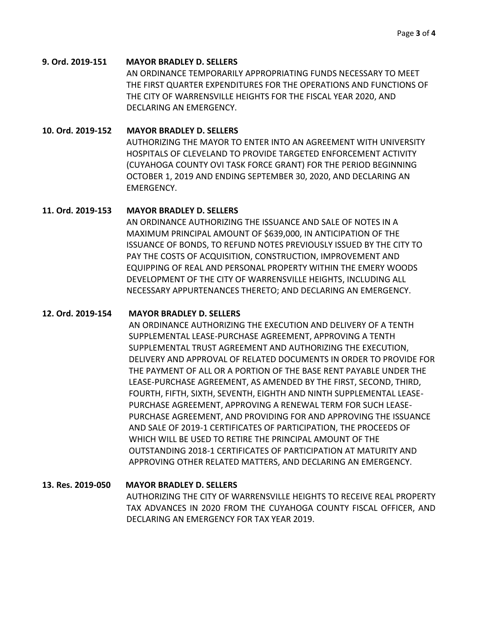## **9. Ord. 2019-151 MAYOR BRADLEY D. SELLERS**

AN ORDINANCE TEMPORARILY APPROPRIATING FUNDS NECESSARY TO MEET THE FIRST QUARTER EXPENDITURES FOR THE OPERATIONS AND FUNCTIONS OF THE CITY OF WARRENSVILLE HEIGHTS FOR THE FISCAL YEAR 2020, AND DECLARING AN EMERGENCY.

## **10. Ord. 2019-152 MAYOR BRADLEY D. SELLERS**

AUTHORIZING THE MAYOR TO ENTER INTO AN AGREEMENT WITH UNIVERSITY HOSPITALS OF CLEVELAND TO PROVIDE TARGETED ENFORCEMENT ACTIVITY (CUYAHOGA COUNTY OVI TASK FORCE GRANT) FOR THE PERIOD BEGINNING OCTOBER 1, 2019 AND ENDING SEPTEMBER 30, 2020, AND DECLARING AN EMERGENCY.

## **11. Ord. 2019-153 MAYOR BRADLEY D. SELLERS**

AN ORDINANCE AUTHORIZING THE ISSUANCE AND SALE OF NOTES IN A MAXIMUM PRINCIPAL AMOUNT OF \$639,000, IN ANTICIPATION OF THE ISSUANCE OF BONDS, TO REFUND NOTES PREVIOUSLY ISSUED BY THE CITY TO PAY THE COSTS OF ACQUISITION, CONSTRUCTION, IMPROVEMENT AND EQUIPPING OF REAL AND PERSONAL PROPERTY WITHIN THE EMERY WOODS DEVELOPMENT OF THE CITY OF WARRENSVILLE HEIGHTS, INCLUDING ALL NECESSARY APPURTENANCES THERETO; AND DECLARING AN EMERGENCY.

### **12. Ord. 2019-154 MAYOR BRADLEY D. SELLERS**

AN ORDINANCE AUTHORIZING THE EXECUTION AND DELIVERY OF A TENTH SUPPLEMENTAL LEASE-PURCHASE AGREEMENT, APPROVING A TENTH SUPPLEMENTAL TRUST AGREEMENT AND AUTHORIZING THE EXECUTION, DELIVERY AND APPROVAL OF RELATED DOCUMENTS IN ORDER TO PROVIDE FOR THE PAYMENT OF ALL OR A PORTION OF THE BASE RENT PAYABLE UNDER THE LEASE-PURCHASE AGREEMENT, AS AMENDED BY THE FIRST, SECOND, THIRD, FOURTH, FIFTH, SIXTH, SEVENTH, EIGHTH AND NINTH SUPPLEMENTAL LEASE-PURCHASE AGREEMENT, APPROVING A RENEWAL TERM FOR SUCH LEASE-PURCHASE AGREEMENT, AND PROVIDING FOR AND APPROVING THE ISSUANCE AND SALE OF 2019-1 CERTIFICATES OF PARTICIPATION, THE PROCEEDS OF WHICH WILL BE USED TO RETIRE THE PRINCIPAL AMOUNT OF THE OUTSTANDING 2018-1 CERTIFICATES OF PARTICIPATION AT MATURITY AND APPROVING OTHER RELATED MATTERS, AND DECLARING AN EMERGENCY.

**13. Res. 2019-050 MAYOR BRADLEY D. SELLERS**  AUTHORIZING THE CITY OF WARRENSVILLE HEIGHTS TO RECEIVE REAL PROPERTY TAX ADVANCES IN 2020 FROM THE CUYAHOGA COUNTY FISCAL OFFICER, AND DECLARING AN EMERGENCY FOR TAX YEAR 2019.